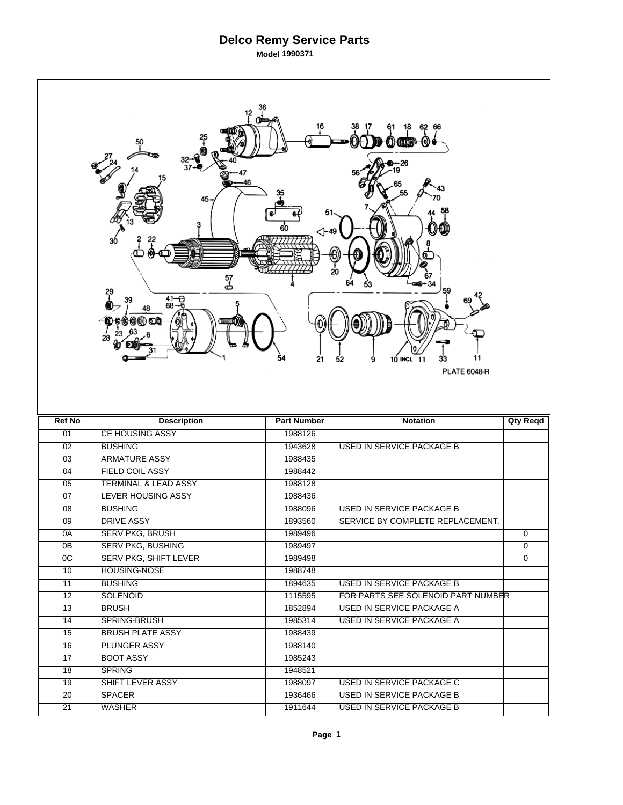| 36<br>12<br>62<br>66<br>45<br>⊲-49<br>30<br>20<br>57<br>군<br>59<br>29<br>$41 - 9$<br>68-0<br>48<br>28<br>11<br>21<br>10 INCL 11<br>33<br>52<br>9<br><b>PLATE 6048-R</b> |                                 |                    |                                                               |                |  |  |
|-------------------------------------------------------------------------------------------------------------------------------------------------------------------------|---------------------------------|--------------------|---------------------------------------------------------------|----------------|--|--|
|                                                                                                                                                                         |                                 |                    |                                                               |                |  |  |
| <b>Ref No</b>                                                                                                                                                           | <b>Description</b>              | <b>Part Number</b> | <b>Notation</b>                                               | Qty Reqd       |  |  |
| 01                                                                                                                                                                      | <b>CE HOUSING ASSY</b>          | 1988126            |                                                               |                |  |  |
| 02                                                                                                                                                                      | <b>BUSHING</b>                  | 1943628            | <b>USED IN SERVICE PACKAGE B</b>                              |                |  |  |
| $\overline{03}$                                                                                                                                                         | <b>ARMATURE ASSY</b>            | 1988435            |                                                               |                |  |  |
| 04                                                                                                                                                                      | <b>FIELD COIL ASSY</b>          | 1988442            |                                                               |                |  |  |
| 05                                                                                                                                                                      | <b>TERMINAL &amp; LEAD ASSY</b> | 1988128            |                                                               |                |  |  |
| 07                                                                                                                                                                      | <b>LEVER HOUSING ASSY</b>       | 1988436            |                                                               |                |  |  |
| 08                                                                                                                                                                      | <b>BUSHING</b>                  | 1988096            | <b>USED IN SERVICE PACKAGE B</b>                              |                |  |  |
| 09                                                                                                                                                                      | <b>DRIVE ASSY</b>               | 1893560            | SERVICE BY COMPLETE REPLACEMENT.                              |                |  |  |
| 0A                                                                                                                                                                      | <b>SERV PKG, BRUSH</b>          | 1989496            |                                                               | 0              |  |  |
| 0B                                                                                                                                                                      | <b>SERV PKG, BUSHING</b>        | 1989497            |                                                               | $\overline{0}$ |  |  |
| 0 <sup>C</sup>                                                                                                                                                          | SERV PKG, SHIFT LEVER           | 1989498            |                                                               | $\overline{0}$ |  |  |
| 10                                                                                                                                                                      | HOUSING-NOSE                    | 1988748            |                                                               |                |  |  |
| $\overline{11}$                                                                                                                                                         | <b>BUSHING</b>                  | 1894635            | USED IN SERVICE PACKAGE B                                     |                |  |  |
| $\overline{12}$                                                                                                                                                         | <b>SOLENOID</b>                 | 1115595            | FOR PARTS SEE SOLENOID PART NUMBER                            |                |  |  |
| 13                                                                                                                                                                      | <b>BRUSH</b>                    | 1852894            | <b>USED IN SERVICE PACKAGE A</b>                              |                |  |  |
| 14                                                                                                                                                                      | SPRING-BRUSH                    | 1985314            | <b>USED IN SERVICE PACKAGE A</b>                              |                |  |  |
| 15                                                                                                                                                                      | <b>BRUSH PLATE ASSY</b>         | 1988439            |                                                               |                |  |  |
| 16                                                                                                                                                                      | <b>PLUNGER ASSY</b>             | 1988140            |                                                               |                |  |  |
| 17                                                                                                                                                                      | <b>BOOT ASSY</b>                | 1985243            |                                                               |                |  |  |
| 18                                                                                                                                                                      | <b>SPRING</b>                   | 1948521            |                                                               |                |  |  |
| 19                                                                                                                                                                      | SHIFT LEVER ASSY                | 1988097            | USED IN SERVICE PACKAGE C                                     |                |  |  |
| 20<br>$\overline{21}$                                                                                                                                                   | <b>SPACER</b><br><b>WASHER</b>  | 1936466<br>1911644 | USED IN SERVICE PACKAGE B<br><b>USED IN SERVICE PACKAGE B</b> |                |  |  |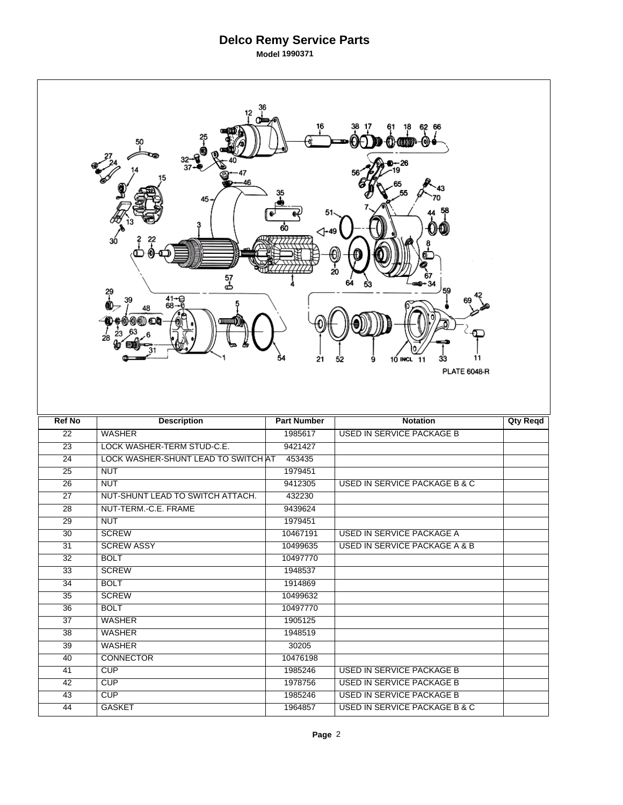| 12<br>62<br>66<br>18<br>-0<br>amm<br>50<br>26<br>37<br>46<br>45<br>51<br>60<br>⊲-49<br>30<br>20<br>57<br>ക<br>59<br>29<br>$41 - 9$<br>68-0<br>39<br>48<br>28<br>11<br>21<br>10 INCL 11<br>33<br>52<br>9<br><b>PLATE 6048-R</b> |                                     |                    |                                                                       |                 |  |  |  |
|--------------------------------------------------------------------------------------------------------------------------------------------------------------------------------------------------------------------------------|-------------------------------------|--------------------|-----------------------------------------------------------------------|-----------------|--|--|--|
| <b>Ref No</b>                                                                                                                                                                                                                  | <b>Description</b>                  | <b>Part Number</b> | <b>Notation</b>                                                       | <b>Qty Reqd</b> |  |  |  |
| $\overline{22}$                                                                                                                                                                                                                | <b>WASHER</b>                       | 1985617            | <b>USED IN SERVICE PACKAGE B</b>                                      |                 |  |  |  |
| $\overline{23}$                                                                                                                                                                                                                | LOCK WASHER-TERM STUD-C.E.          | 9421427            |                                                                       |                 |  |  |  |
| $\overline{24}$                                                                                                                                                                                                                | LOCK WASHER-SHUNT LEAD TO SWITCH AT | 453435             |                                                                       |                 |  |  |  |
| $\overline{25}$                                                                                                                                                                                                                |                                     |                    |                                                                       |                 |  |  |  |
| 26                                                                                                                                                                                                                             | <b>NUT</b>                          | 1979451            |                                                                       |                 |  |  |  |
| $\overline{27}$                                                                                                                                                                                                                | <b>NUT</b>                          | 9412305            | <b>USED IN SERVICE PACKAGE B &amp; C</b>                              |                 |  |  |  |
|                                                                                                                                                                                                                                | NUT-SHUNT LEAD TO SWITCH ATTACH.    | 432230             |                                                                       |                 |  |  |  |
| 28                                                                                                                                                                                                                             | NUT-TERM.-C.E. FRAME                | 9439624            |                                                                       |                 |  |  |  |
| 29                                                                                                                                                                                                                             | <b>NUT</b>                          | 1979451            |                                                                       |                 |  |  |  |
| $\overline{30}$                                                                                                                                                                                                                | <b>SCREW</b>                        | 10467191           | USED IN SERVICE PACKAGE A                                             |                 |  |  |  |
| $\overline{31}$                                                                                                                                                                                                                | <b>SCREW ASSY</b>                   | 10499635           | <b>USED IN SERVICE PACKAGE A &amp; B</b>                              |                 |  |  |  |
| 32                                                                                                                                                                                                                             | <b>BOLT</b>                         | 10497770           |                                                                       |                 |  |  |  |
| $\overline{33}$                                                                                                                                                                                                                | <b>SCREW</b>                        | 1948537            |                                                                       |                 |  |  |  |
| 34                                                                                                                                                                                                                             | <b>BOLT</b>                         | 1914869            |                                                                       |                 |  |  |  |
| 35                                                                                                                                                                                                                             | <b>SCREW</b>                        | 10499632           |                                                                       |                 |  |  |  |
| 36                                                                                                                                                                                                                             | <b>BOLT</b>                         | 10497770           |                                                                       |                 |  |  |  |
| 37                                                                                                                                                                                                                             | <b>WASHER</b>                       | 1905125            |                                                                       |                 |  |  |  |
| 38                                                                                                                                                                                                                             | <b>WASHER</b>                       | 1948519            |                                                                       |                 |  |  |  |
| $\overline{39}$                                                                                                                                                                                                                | <b>WASHER</b>                       | 30205              |                                                                       |                 |  |  |  |
| 40                                                                                                                                                                                                                             | <b>CONNECTOR</b>                    | 10476198           |                                                                       |                 |  |  |  |
| 41                                                                                                                                                                                                                             | CUP                                 | 1985246            | USED IN SERVICE PACKAGE B                                             |                 |  |  |  |
| 42                                                                                                                                                                                                                             | CUP                                 | 1978756            | <b>USED IN SERVICE PACKAGE B</b>                                      |                 |  |  |  |
| 43                                                                                                                                                                                                                             | <b>CUP</b>                          | 1985246            | USED IN SERVICE PACKAGE B<br><b>USED IN SERVICE PACKAGE B &amp; C</b> |                 |  |  |  |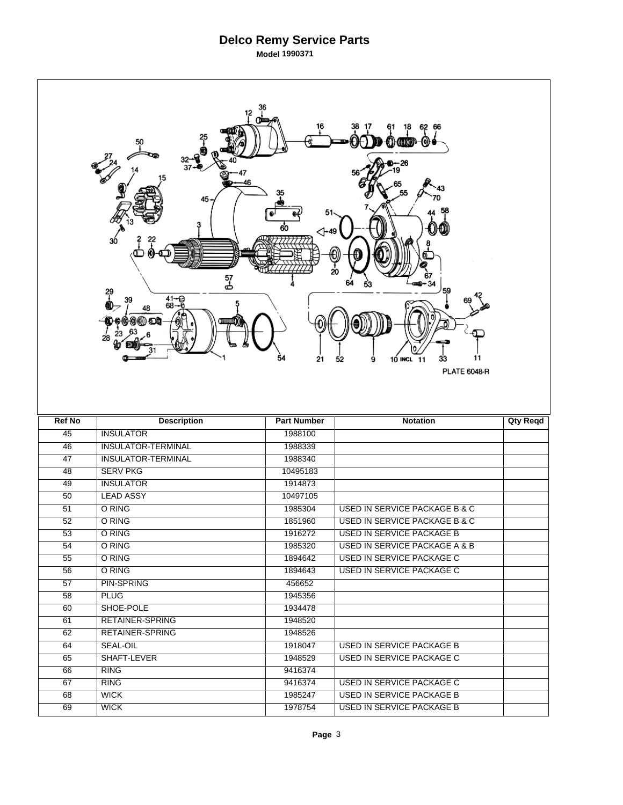| 12<br>ന്ത<br>62<br>18<br>66<br>⋒<br>01 (000)<br>-<br>37<br>46<br>45<br>60<br>$\triangle$ -49<br>ЗÓ<br>20<br>57<br>스<br>34<br>59<br>29<br>T<br>$41 - 9$<br>68-9<br>39<br>48<br>28<br>54<br>21<br>33<br>11<br>10 INCL 11<br>52<br>9<br><b>PLATE 6048-R</b> |                           |                    |                                  |                 |  |  |  |
|----------------------------------------------------------------------------------------------------------------------------------------------------------------------------------------------------------------------------------------------------------|---------------------------|--------------------|----------------------------------|-----------------|--|--|--|
|                                                                                                                                                                                                                                                          |                           |                    |                                  |                 |  |  |  |
| <b>Ref No</b>                                                                                                                                                                                                                                            | <b>Description</b>        | <b>Part Number</b> | <b>Notation</b>                  | <b>Qty Reqd</b> |  |  |  |
| 45                                                                                                                                                                                                                                                       | <b>INSULATOR</b>          | 1988100            |                                  |                 |  |  |  |
| 46                                                                                                                                                                                                                                                       | <b>INSULATOR-TERMINAL</b> | 1988339            |                                  |                 |  |  |  |
| 47                                                                                                                                                                                                                                                       | <b>INSULATOR-TERMINAL</b> | 1988340            |                                  |                 |  |  |  |
| 48                                                                                                                                                                                                                                                       | <b>SERV PKG</b>           | 10495183           |                                  |                 |  |  |  |
| 49                                                                                                                                                                                                                                                       | <b>INSULATOR</b>          | 1914873            |                                  |                 |  |  |  |
| 50                                                                                                                                                                                                                                                       | <b>LEAD ASSY</b>          | 10497105           |                                  |                 |  |  |  |
| 51                                                                                                                                                                                                                                                       | O RING                    | 1985304            | USED IN SERVICE PACKAGE B & C    |                 |  |  |  |
| 52                                                                                                                                                                                                                                                       | O RING                    | 1851960            | USED IN SERVICE PACKAGE B & C    |                 |  |  |  |
| $\overline{53}$                                                                                                                                                                                                                                          | O RING                    | 1916272            | <b>USED IN SERVICE PACKAGE B</b> |                 |  |  |  |
| 54                                                                                                                                                                                                                                                       | O RING                    | 1985320            | USED IN SERVICE PACKAGE A & B    |                 |  |  |  |
| 55                                                                                                                                                                                                                                                       | O RING                    | 1894642            | <b>USED IN SERVICE PACKAGE C</b> |                 |  |  |  |
| $\overline{56}$                                                                                                                                                                                                                                          | O RING                    | 1894643            | <b>USED IN SERVICE PACKAGE C</b> |                 |  |  |  |
| $\overline{57}$                                                                                                                                                                                                                                          | <b>PIN-SPRING</b>         | 456652             |                                  |                 |  |  |  |
| $\overline{58}$                                                                                                                                                                                                                                          | <b>PLUG</b>               | 1945356            |                                  |                 |  |  |  |
| 60                                                                                                                                                                                                                                                       | SHOE-POLE                 | 1934478            |                                  |                 |  |  |  |
| 61                                                                                                                                                                                                                                                       | <b>RETAINER-SPRING</b>    | 1948520            |                                  |                 |  |  |  |
| 62                                                                                                                                                                                                                                                       | <b>RETAINER-SPRING</b>    | 1948526            |                                  |                 |  |  |  |
| 64                                                                                                                                                                                                                                                       | <b>SEAL-OIL</b>           | 1918047            | USED IN SERVICE PACKAGE B        |                 |  |  |  |
| 65                                                                                                                                                                                                                                                       | SHAFT-LEVER               | 1948529            | USED IN SERVICE PACKAGE C        |                 |  |  |  |
| 66                                                                                                                                                                                                                                                       | <b>RING</b>               | 9416374            |                                  |                 |  |  |  |
| 67                                                                                                                                                                                                                                                       | <b>RING</b>               | 9416374            | <b>USED IN SERVICE PACKAGE C</b> |                 |  |  |  |
| 68                                                                                                                                                                                                                                                       | <b>WICK</b>               | 1985247            | USED IN SERVICE PACKAGE B        |                 |  |  |  |